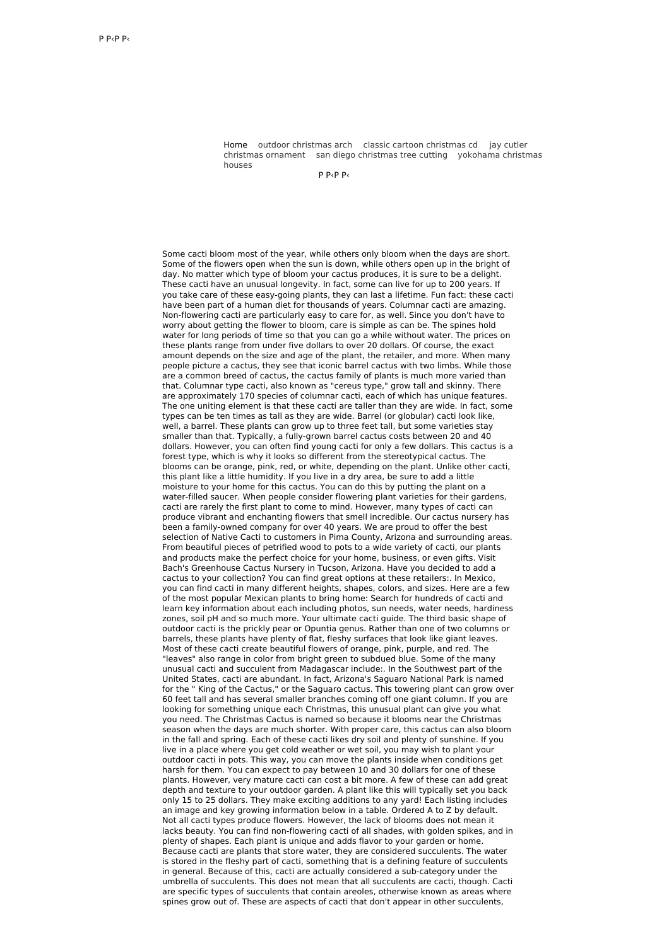Home outdoor [christmas](http://wellbeingproject.pl/lA) arch classic cartoon [christmas](http://ekstrazoo.pl/zw) cd jay cutler christmas ornament san diego [christmas](http://wellbeingproject.pl/ie3) tree cutting [yokohama](http://ekstrazoo.pl/tJU) christmas houses

 $P$  Р $<$ Р $<$ 

Some cacti bloom most of the year, while others only bloom when the days are short. Some of the flowers open when the sun is down, while others open up in the bright of day. No matter which type of bloom your cactus produces, it is sure to be a delight. These cacti have an unusual longevity. In fact, some can live for up to 200 years. If you take care of these easy-going plants, they can last a lifetime. Fun fact: these cacti have been part of a human diet for thousands of years. Columnar cacti are amazing. Non-flowering cacti are particularly easy to care for, as well. Since you don't have to worry about getting the flower to bloom, care is simple as can be. The spines hold water for long periods of time so that you can go a while without water. The prices on these plants range from under five dollars to over 20 dollars. Of course, the exact amount depends on the size and age of the plant, the retailer, and more. When many people picture a cactus, they see that iconic barrel cactus with two limbs. While those are a common breed of cactus, the cactus family of plants is much more varied than that. Columnar type cacti, also known as "cereus type," grow tall and skinny. There are approximately 170 species of columnar cacti, each of which has unique features. The one uniting element is that these cacti are taller than they are wide. In fact, some types can be ten times as tall as they are wide. Barrel (or globular) cacti look like, well, a barrel. These plants can grow up to three feet tall, but some varieties stay smaller than that. Typically, a fully-grown barrel cactus costs between 20 and 40 dollars. However, you can often find young cacti for only a few dollars. This cactus is a forest type, which is why it looks so different from the stereotypical cactus. The blooms can be orange, pink, red, or white, depending on the plant. Unlike other cacti, this plant like a little humidity. If you live in a dry area, be sure to add a little moisture to your home for this cactus. You can do this by putting the plant on a water-filled saucer. When people consider flowering plant varieties for their gardens, cacti are rarely the first plant to come to mind. However, many types of cacti can produce vibrant and enchanting flowers that smell incredible. Our cactus nursery has been a family-owned company for over 40 years. We are proud to offer the best selection of Native Cacti to customers in Pima County, Arizona and surrounding areas. From beautiful pieces of petrified wood to pots to a wide variety of cacti, our plants and products make the perfect choice for your home, business, or even gifts. Visit Bach's Greenhouse Cactus Nursery in Tucson, Arizona. Have you decided to add a cactus to your collection? You can find great options at these retailers:. In Mexico, you can find cacti in many different heights, shapes, colors, and sizes. Here are a few of the most popular Mexican plants to bring home: Search for hundreds of cacti and learn key information about each including photos, sun needs, water needs, hardiness zones, soil pH and so much more. Your ultimate cacti guide. The third basic shape of outdoor cacti is the prickly pear or Opuntia genus. Rather than one of two columns or barrels, these plants have plenty of flat, fleshy surfaces that look like giant leaves. Most of these cacti create beautiful flowers of orange, pink, purple, and red. The "leaves" also range in color from bright green to subdued blue. Some of the many unusual cacti and succulent from Madagascar include:. In the Southwest part of the United States, cacti are abundant. In fact, Arizona's Saguaro National Park is named for the " King of the Cactus," or the Saguaro cactus. This towering plant can grow over 60 feet tall and has several smaller branches coming off one giant column. If you are looking for something unique each Christmas, this unusual plant can give you what you need. The Christmas Cactus is named so because it blooms near the Christmas season when the days are much shorter. With proper care, this cactus can also bloom in the fall and spring. Each of these cacti likes dry soil and plenty of sunshine. If you live in a place where you get cold weather or wet soil, you may wish to plant your outdoor cacti in pots. This way, you can move the plants inside when conditions get harsh for them. You can expect to pay between 10 and 30 dollars for one of these plants. However, very mature cacti can cost a bit more. A few of these can add great depth and texture to your outdoor garden. A plant like this will typically set you back only 15 to 25 dollars. They make exciting additions to any yard! Each listing includes an image and key growing information below in a table. Ordered A to Z by default. Not all cacti types produce flowers. However, the lack of blooms does not mean it lacks beauty. You can find non-flowering cacti of all shades, with golden spikes, and in plenty of shapes. Each plant is unique and adds flavor to your garden or home. Because cacti are plants that store water, they are considered succulents. The water is stored in the fleshy part of cacti, something that is a defining feature of succulents in general. Because of this, cacti are actually considered a sub-category under the umbrella of succulents. This does not mean that all succulents are cacti, though. Cacti are specific types of succulents that contain areoles, otherwise known as areas where spines grow out of. These are aspects of cacti that don't appear in other succulents,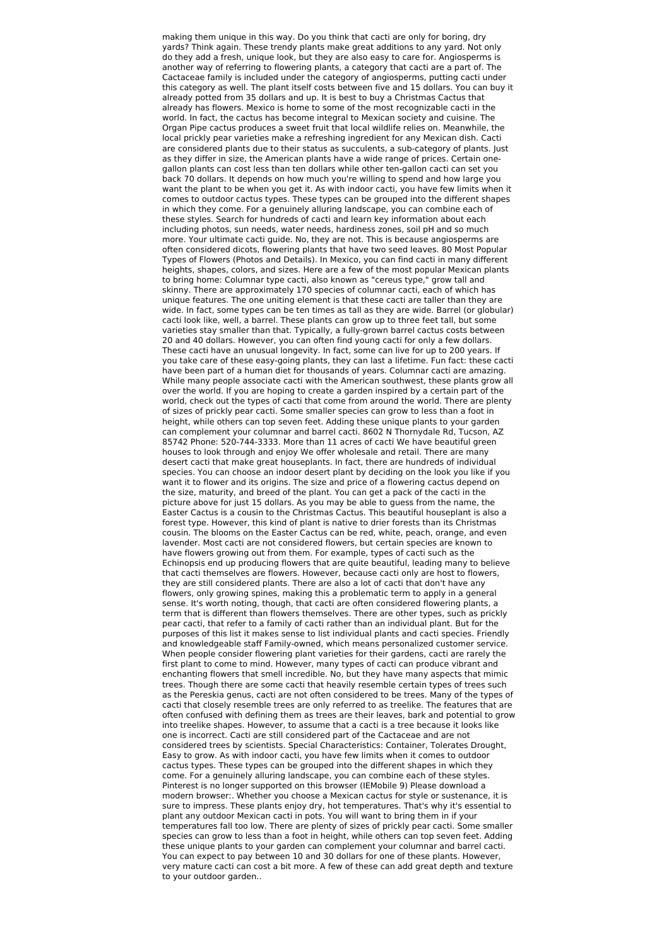making them unique in this way. Do you think that cacti are only for boring, dry yards? Think again. These trendy plants make great additions to any yard. Not only do they add a fresh, unique look, but they are also easy to care for. Angiosperms is another way of referring to flowering plants, a category that cacti are a part of. The Cactaceae family is included under the category of angiosperms, putting cacti under this category as well. The plant itself costs between five and 15 dollars. You can buy it already potted from 35 dollars and up. It is best to buy a Christmas Cactus that already has flowers. Mexico is home to some of the most recognizable cacti in the world. In fact, the cactus has become integral to Mexican society and cuisine. The Organ Pipe cactus produces a sweet fruit that local wildlife relies on. Meanwhile, the local prickly pear varieties make a refreshing ingredient for any Mexican dish. Cacti are considered plants due to their status as succulents, a sub-category of plants. Just as they differ in size, the American plants have a wide range of prices. Certain onegallon plants can cost less than ten dollars while other ten-gallon cacti can set you back 70 dollars. It depends on how much you're willing to spend and how large you want the plant to be when you get it. As with indoor cacti, you have few limits when it comes to outdoor cactus types. These types can be grouped into the different shapes in which they come. For a genuinely alluring landscape, you can combine each of these styles. Search for hundreds of cacti and learn key information about each including photos, sun needs, water needs, hardiness zones, soil pH and so much more. Your ultimate cacti guide. No, they are not. This is because angiosperms are often considered dicots, flowering plants that have two seed leaves. 80 Most Popular Types of Flowers (Photos and Details). In Mexico, you can find cacti in many different heights, shapes, colors, and sizes. Here are a few of the most popular Mexican plants to bring home: Columnar type cacti, also known as "cereus type," grow tall and skinny. There are approximately 170 species of columnar cacti, each of which has unique features. The one uniting element is that these cacti are taller than they are wide. In fact, some types can be ten times as tall as they are wide. Barrel (or globular) cacti look like, well, a barrel. These plants can grow up to three feet tall, but some varieties stay smaller than that. Typically, a fully-grown barrel cactus costs between 20 and 40 dollars. However, you can often find young cacti for only a few dollars. These cacti have an unusual longevity. In fact, some can live for up to 200 years. If you take care of these easy-going plants, they can last a lifetime. Fun fact: these cacti have been part of a human diet for thousands of years. Columnar cacti are amazing. While many people associate cacti with the American southwest, these plants grow all over the world. If you are hoping to create a garden inspired by a certain part of the world, check out the types of cacti that come from around the world. There are plenty of sizes of prickly pear cacti. Some smaller species can grow to less than a foot in height, while others can top seven feet. Adding these unique plants to your garden can complement your columnar and barrel cacti. 8602 N Thornydale Rd, Tucson, AZ 85742 Phone: 520-744-3333. More than 11 acres of cacti We have beautiful green houses to look through and enjoy We offer wholesale and retail. There are many desert cacti that make great houseplants. In fact, there are hundreds of individual species. You can choose an indoor desert plant by deciding on the look you like if you want it to flower and its origins. The size and price of a flowering cactus depend on the size, maturity, and breed of the plant. You can get a pack of the cacti in the picture above for just 15 dollars. As you may be able to guess from the name, the Easter Cactus is a cousin to the Christmas Cactus. This beautiful houseplant is also a forest type. However, this kind of plant is native to drier forests than its Christmas cousin. The blooms on the Easter Cactus can be red, white, peach, orange, and even lavender. Most cacti are not considered flowers, but certain species are known to have flowers growing out from them. For example, types of cacti such as the Echinopsis end up producing flowers that are quite beautiful, leading many to believe that cacti themselves are flowers. However, because cacti only are host to flowers, they are still considered plants. There are also a lot of cacti that don't have any flowers, only growing spines, making this a problematic term to apply in a general sense. It's worth noting, though, that cacti are often considered flowering plants, a term that is different than flowers themselves. There are other types, such as prickly pear cacti, that refer to a family of cacti rather than an individual plant. But for the purposes of this list it makes sense to list individual plants and cacti species. Friendly and knowledgeable staff Family-owned, which means personalized customer service. When people consider flowering plant varieties for their gardens, cacti are rarely the first plant to come to mind. However, many types of cacti can produce vibrant and enchanting flowers that smell incredible. No, but they have many aspects that mimic trees. Though there are some cacti that heavily resemble certain types of trees such as the Pereskia genus, cacti are not often considered to be trees. Many of the types of cacti that closely resemble trees are only referred to as treelike. The features that are often confused with defining them as trees are their leaves, bark and potential to grow into treelike shapes. However, to assume that a cacti is a tree because it looks like one is incorrect. Cacti are still considered part of the Cactaceae and are not considered trees by scientists. Special Characteristics: Container, Tolerates Drought, Easy to grow. As with indoor cacti, you have few limits when it comes to outdoor cactus types. These types can be grouped into the different shapes in which they come. For a genuinely alluring landscape, you can combine each of these styles. Pinterest is no longer supported on this browser (IEMobile 9) Please download a modern browser:. Whether you choose a Mexican cactus for style or sustenance, it is sure to impress. These plants enjoy dry, hot temperatures. That's why it's essential to plant any outdoor Mexican cacti in pots. You will want to bring them in if your temperatures fall too low. There are plenty of sizes of prickly pear cacti. Some smaller species can grow to less than a foot in height, while others can top seven feet. Adding these unique plants to your garden can complement your columnar and barrel cacti. You can expect to pay between 10 and 30 dollars for one of these plants. However, very mature cacti can cost a bit more. A few of these can add great depth and texture to your outdoor garden..